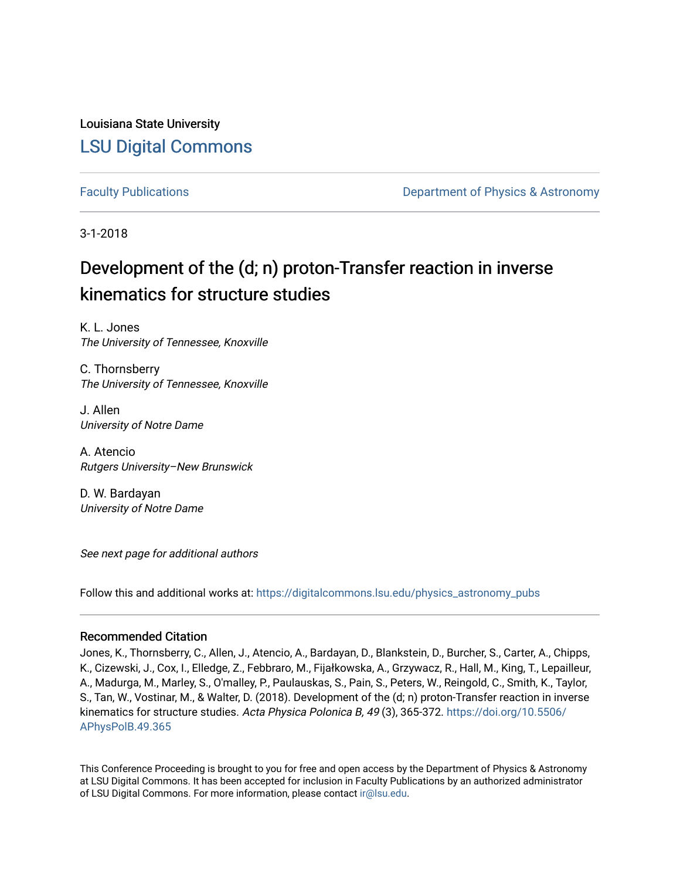Louisiana State University [LSU Digital Commons](https://digitalcommons.lsu.edu/)

[Faculty Publications](https://digitalcommons.lsu.edu/physics_astronomy_pubs) **Example 2** Constant Department of Physics & Astronomy

3-1-2018

# Development of the (d; n) proton-Transfer reaction in inverse kinematics for structure studies

K. L. Jones The University of Tennessee, Knoxville

C. Thornsberry The University of Tennessee, Knoxville

J. Allen University of Notre Dame

A. Atencio Rutgers University–New Brunswick

D. W. Bardayan University of Notre Dame

See next page for additional authors

Follow this and additional works at: [https://digitalcommons.lsu.edu/physics\\_astronomy\\_pubs](https://digitalcommons.lsu.edu/physics_astronomy_pubs?utm_source=digitalcommons.lsu.edu%2Fphysics_astronomy_pubs%2F3062&utm_medium=PDF&utm_campaign=PDFCoverPages) 

# Recommended Citation

Jones, K., Thornsberry, C., Allen, J., Atencio, A., Bardayan, D., Blankstein, D., Burcher, S., Carter, A., Chipps, K., Cizewski, J., Cox, I., Elledge, Z., Febbraro, M., Fijałkowska, A., Grzywacz, R., Hall, M., King, T., Lepailleur, A., Madurga, M., Marley, S., O'malley, P., Paulauskas, S., Pain, S., Peters, W., Reingold, C., Smith, K., Taylor, S., Tan, W., Vostinar, M., & Walter, D. (2018). Development of the (d; n) proton-Transfer reaction in inverse kinematics for structure studies. Acta Physica Polonica B, 49 (3), 365-372. [https://doi.org/10.5506/](https://doi.org/10.5506/APhysPolB.49.365) [APhysPolB.49.365](https://doi.org/10.5506/APhysPolB.49.365)

This Conference Proceeding is brought to you for free and open access by the Department of Physics & Astronomy at LSU Digital Commons. It has been accepted for inclusion in Faculty Publications by an authorized administrator of LSU Digital Commons. For more information, please contact [ir@lsu.edu](mailto:ir@lsu.edu).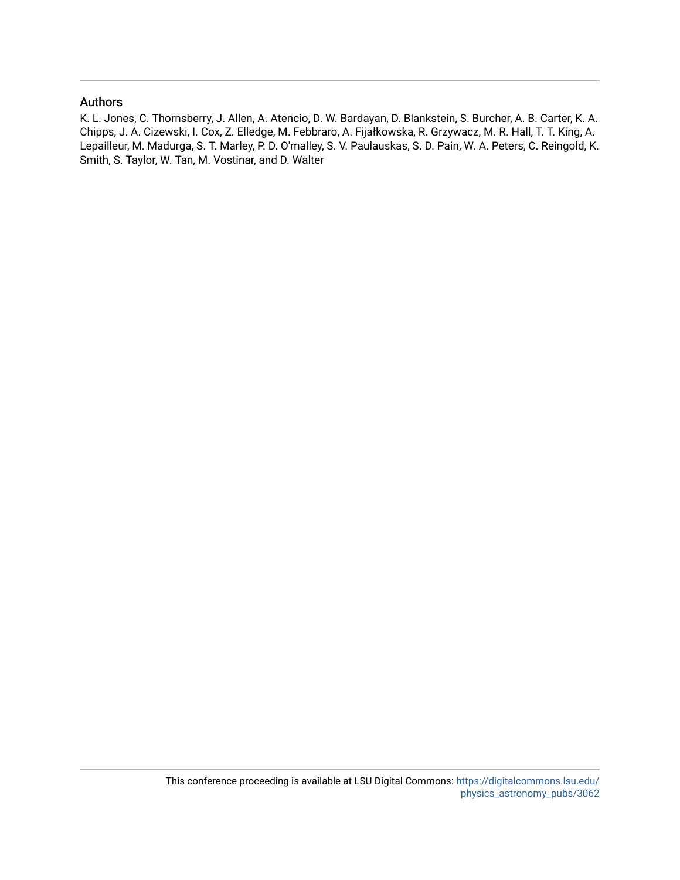# Authors

K. L. Jones, C. Thornsberry, J. Allen, A. Atencio, D. W. Bardayan, D. Blankstein, S. Burcher, A. B. Carter, K. A. Chipps, J. A. Cizewski, I. Cox, Z. Elledge, M. Febbraro, A. Fijałkowska, R. Grzywacz, M. R. Hall, T. T. King, A. Lepailleur, M. Madurga, S. T. Marley, P. D. O'malley, S. V. Paulauskas, S. D. Pain, W. A. Peters, C. Reingold, K. Smith, S. Taylor, W. Tan, M. Vostinar, and D. Walter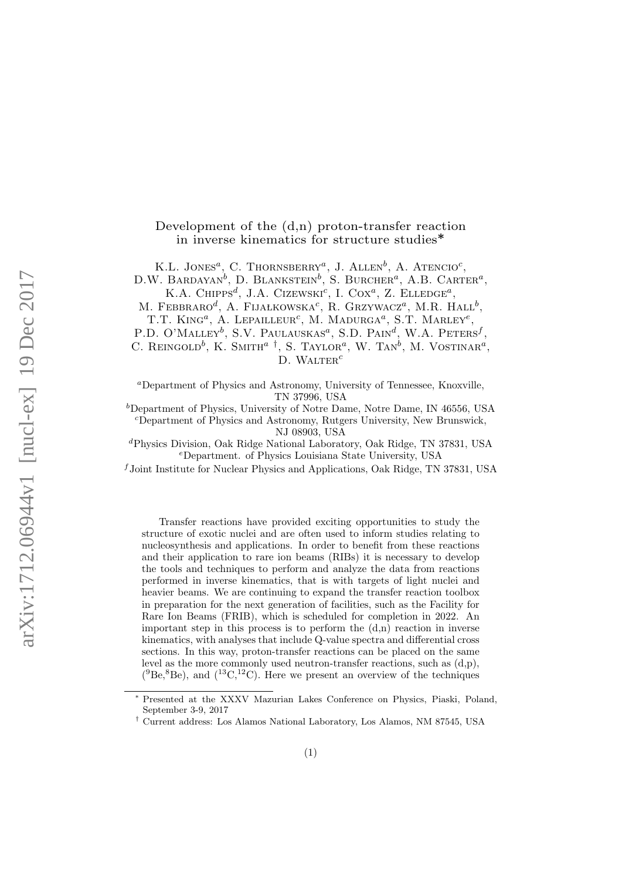# Development of the  $(d,n)$  proton-transfer reaction in inverse kinematics for structure studies∗

K.L. JONES<sup>*a*</sup>, C. THORNSBERRY<sup>*a*</sup>, J. ALLEN<sup>b</sup>, A. ATENCIO<sup>*c*</sup>,

D.W. BARDAYAN<sup>b</sup>, D. BLANKSTEIN<sup>b</sup>, S. BURCHER<sup>a</sup>, A.B. CARTER<sup>a</sup>, K.A. CHIPPS<sup>d</sup>. J.A. CIZEWSKI<sup>c</sup>, I. Cox<sup>a</sup>, Z. ELLEDGE<sup>a</sup>.

M. FEBBRARO<sup>d</sup>, A. FLIAŁKOWSKA<sup>c</sup>, R. Grzywacz<sup>a</sup>, M.R. Hall<sup>b</sup>,

T.T. KING<sup>a</sup>, A. LEPAILLEUR<sup>c</sup>, M. MADURGA<sup>a</sup>, S.T. MARLEY<sup>e</sup>, P.D. O'MALLEY<sup>b</sup>, S.V. PAULAUSKAS<sup>a</sup>, S.D. PAIN<sup>d</sup>, W.A. PETERS<sup>f</sup>, C. REINGOLD<sup>b</sup>, K. SMITH<sup>a</sup> <sup>†</sup>, S. TAYLOR<sup>a</sup>, W. TAN<sup>b</sup>, M. VOSTINAR<sup>a</sup>,

D. WALTER<sup>c</sup>

<sup>a</sup>Department of Physics and Astronomy, University of Tennessee, Knoxville, TN 37996, USA

 $b$ Department of Physics, University of Notre Dame, Notre Dame, IN 46556, USA <sup>c</sup>Department of Physics and Astronomy, Rutgers University, New Brunswick, NJ 08903, USA

<sup>d</sup>Physics Division, Oak Ridge National Laboratory, Oak Ridge, TN 37831, USA <sup>e</sup>Department. of Physics Louisiana State University, USA

 $f$ Joint Institute for Nuclear Physics and Applications, Oak Ridge, TN 37831, USA

Transfer reactions have provided exciting opportunities to study the structure of exotic nuclei and are often used to inform studies relating to nucleosynthesis and applications. In order to benefit from these reactions and their application to rare ion beams (RIBs) it is necessary to develop the tools and techniques to perform and analyze the data from reactions performed in inverse kinematics, that is with targets of light nuclei and heavier beams. We are continuing to expand the transfer reaction toolbox in preparation for the next generation of facilities, such as the Facility for Rare Ion Beams (FRIB), which is scheduled for completion in 2022. An important step in this process is to perform the  $(d,n)$  reaction in inverse kinematics, with analyses that include Q-value spectra and differential cross sections. In this way, proton-transfer reactions can be placed on the same level as the more commonly used neutron-transfer reactions, such as  $(d,p)$ ,  $(^{9}Be, ^{8}Be)$ , and  $(^{13}C, ^{12}C)$ . Here we present an overview of the techniques

Presented at the XXXV Mazurian Lakes Conference on Physics, Piaski, Poland, September 3-9, 2017

<sup>†</sup> Current address: Los Alamos National Laboratory, Los Alamos, NM 87545, USA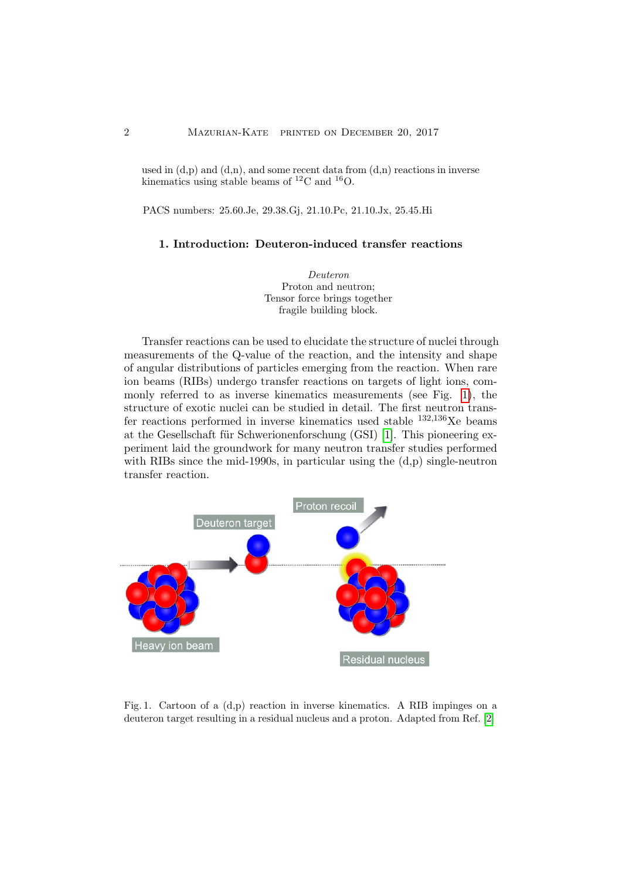used in  $(d,p)$  and  $(d,n)$ , and some recent data from  $(d,n)$  reactions in inverse kinematics using stable beams of  $^{12}$ C and  $^{16}$ O.

PACS numbers: 25.60.Je, 29.38.Gj, 21.10.Pc, 21.10.Jx, 25.45.Hi

#### 1. Introduction: Deuteron-induced transfer reactions

Deuteron Proton and neutron; Tensor force brings together fragile building block.

Transfer reactions can be used to elucidate the structure of nuclei through measurements of the Q-value of the reaction, and the intensity and shape of angular distributions of particles emerging from the reaction. When rare ion beams (RIBs) undergo transfer reactions on targets of light ions, commonly referred to as inverse kinematics measurements (see Fig. [1\)](#page-3-0), the structure of exotic nuclei can be studied in detail. The first neutron transfer reactions performed in inverse kinematics used stable  $^{132,136}$ Xe beams at the Gesellschaft für Schwerionenforschung (GSI) [\[1\]](#page-10-0). This pioneering experiment laid the groundwork for many neutron transfer studies performed with RIBs since the mid-1990s, in particular using the  $(d,p)$  single-neutron transfer reaction.



<span id="page-3-0"></span>Fig. 1. Cartoon of a (d,p) reaction in inverse kinematics. A RIB impinges on a deuteron target resulting in a residual nucleus and a proton. Adapted from Ref. [\[2\]](#page-10-1)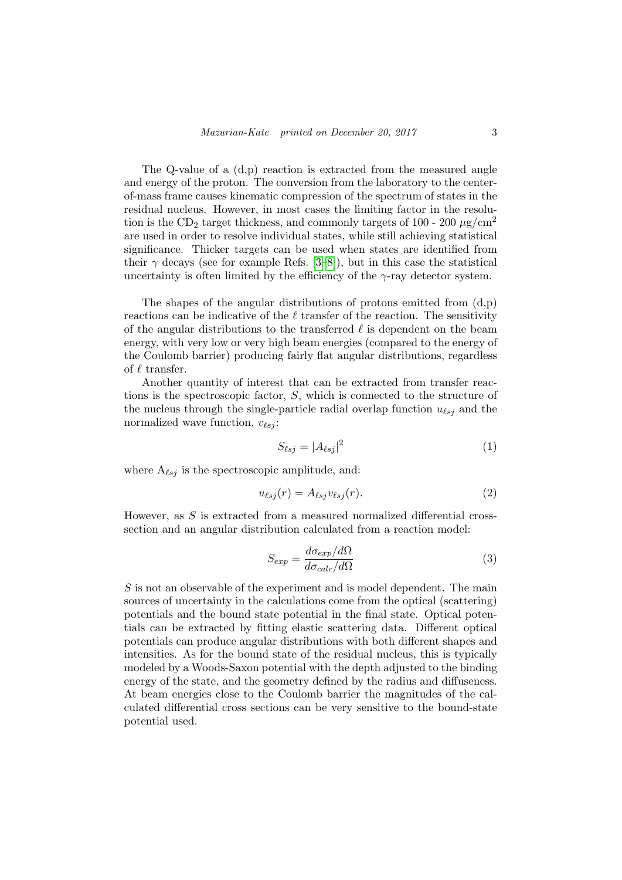The Q-value of a  $(d,p)$  reaction is extracted from the measured angle and energy of the proton. The conversion from the laboratory to the centerof-mass frame causes kinematic compression of the spectrum of states in the residual nucleus. However, in most cases the limiting factor in the resolution is the CD<sub>2</sub> target thickness, and commonly targets of 100 - 200  $\mu$ g/cm<sup>2</sup> are used in order to resolve individual states, while still achieving statistical significance. Thicker targets can be used when states are identified from their  $\gamma$  decays (see for example Refs. [\[3–](#page-10-2)[8\]](#page-10-3)), but in this case the statistical uncertainty is often limited by the efficiency of the  $\gamma$ -ray detector system.

The shapes of the angular distributions of protons emitted from  $(d,p)$ reactions can be indicative of the  $\ell$  transfer of the reaction. The sensitivity of the angular distributions to the transferred  $\ell$  is dependent on the beam energy, with very low or very high beam energies (compared to the energy of the Coulomb barrier) producing fairly flat angular distributions, regardless of  $\ell$  transfer.

Another quantity of interest that can be extracted from transfer reactions is the spectroscopic factor, S, which is connected to the structure of the nucleus through the single-particle radial overlap function  $u_{\ell s j}$  and the normalized wave function,  $v_{\ell s j}$ :

$$
S_{\ell sj} = |A_{\ell sj}|^2 \tag{1}
$$

where  $A_{\ell s_j}$  is the spectroscopic amplitude, and:

$$
u_{\ell sj}(r) = A_{\ell sj} v_{\ell sj}(r). \tag{2}
$$

However, as  $S$  is extracted from a measured normalized differential crosssection and an angular distribution calculated from a reaction model:

$$
S_{exp} = \frac{d\sigma_{exp}/d\Omega}{d\sigma_{calc}/d\Omega}
$$
\n(3)

 $S$  is not an observable of the experiment and is model dependent. The main sources of uncertainty in the calculations come from the optical (scattering) potentials and the bound state potential in the final state. Optical potentials can be extracted by fitting elastic scattering data. Different optical potentials can produce angular distributions with both different shapes and intensities. As for the bound state of the residual nucleus, this is typically modeled by a Woods-Saxon potential with the depth adjusted to the binding energy of the state, and the geometry defined by the radius and diffuseness. At beam energies close to the Coulomb barrier the magnitudes of the calculated differential cross sections can be very sensitive to the bound-state potential used.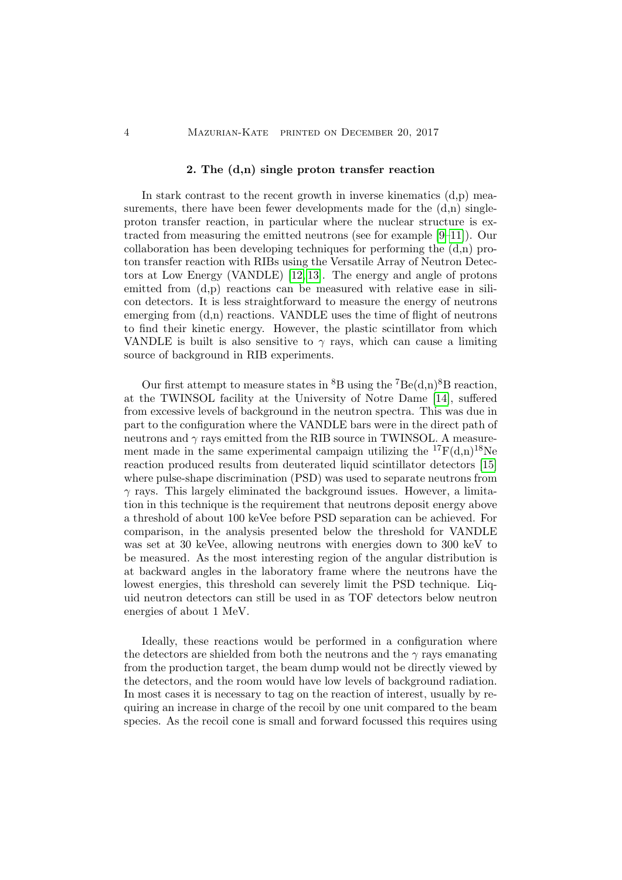#### 2. The (d,n) single proton transfer reaction

In stark contrast to the recent growth in inverse kinematics  $(d,p)$  measurements, there have been fewer developments made for the  $(d,n)$  singleproton transfer reaction, in particular where the nuclear structure is extracted from measuring the emitted neutrons (see for example [\[9–](#page-10-4)[11\]](#page-10-5)). Our collaboration has been developing techniques for performing the  $(d,n)$  proton transfer reaction with RIBs using the Versatile Array of Neutron Detectors at Low Energy (VANDLE) [\[12,](#page-10-6) [13\]](#page-10-7). The energy and angle of protons emitted from  $(d,p)$  reactions can be measured with relative ease in silicon detectors. It is less straightforward to measure the energy of neutrons emerging from  $(d,n)$  reactions. VANDLE uses the time of flight of neutrons to find their kinetic energy. However, the plastic scintillator from which VANDLE is built is also sensitive to  $\gamma$  rays, which can cause a limiting source of background in RIB experiments.

Our first attempt to measure states in  ${}^{8}B$  using the  ${}^{7}Be(d,n){}^{8}B$  reaction, at the TWINSOL facility at the University of Notre Dame [\[14\]](#page-10-8), suffered from excessive levels of background in the neutron spectra. This was due in part to the configuration where the VANDLE bars were in the direct path of neutrons and  $\gamma$  rays emitted from the RIB source in TWINSOL. A measurement made in the same experimental campaign utilizing the  ${}^{17}F(d,n){}^{18}Ne$ reaction produced results from deuterated liquid scintillator detectors [\[15\]](#page-10-9) where pulse-shape discrimination (PSD) was used to separate neutrons from  $\gamma$  rays. This largely eliminated the background issues. However, a limitation in this technique is the requirement that neutrons deposit energy above a threshold of about 100 keVee before PSD separation can be achieved. For comparison, in the analysis presented below the threshold for VANDLE was set at 30 keVee, allowing neutrons with energies down to 300 keV to be measured. As the most interesting region of the angular distribution is at backward angles in the laboratory frame where the neutrons have the lowest energies, this threshold can severely limit the PSD technique. Liquid neutron detectors can still be used in as TOF detectors below neutron energies of about 1 MeV.

Ideally, these reactions would be performed in a configuration where the detectors are shielded from both the neutrons and the  $\gamma$  rays emanating from the production target, the beam dump would not be directly viewed by the detectors, and the room would have low levels of background radiation. In most cases it is necessary to tag on the reaction of interest, usually by requiring an increase in charge of the recoil by one unit compared to the beam species. As the recoil cone is small and forward focussed this requires using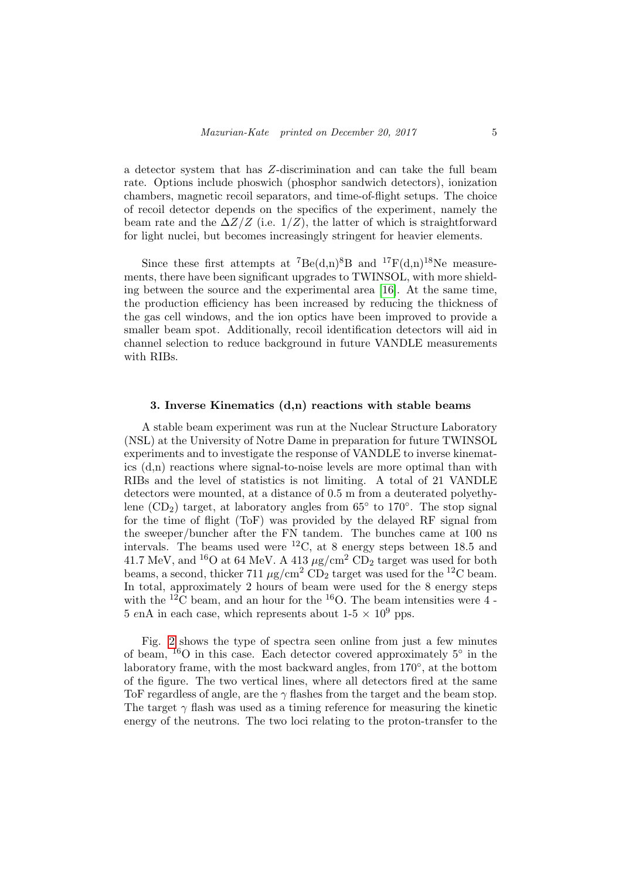a detector system that has Z-discrimination and can take the full beam rate. Options include phoswich (phosphor sandwich detectors), ionization chambers, magnetic recoil separators, and time-of-flight setups. The choice of recoil detector depends on the specifics of the experiment, namely the beam rate and the  $\Delta Z/Z$  (i.e. 1/Z), the latter of which is straightforward for light nuclei, but becomes increasingly stringent for heavier elements.

Since these first attempts at <sup>7</sup>Be(d,n)<sup>8</sup>B and <sup>17</sup>F(d,n)<sup>18</sup>Ne measurements, there have been significant upgrades to TWINSOL, with more shielding between the source and the experimental area [\[16\]](#page-10-10). At the same time, the production efficiency has been increased by reducing the thickness of the gas cell windows, and the ion optics have been improved to provide a smaller beam spot. Additionally, recoil identification detectors will aid in channel selection to reduce background in future VANDLE measurements with RIBs.

### 3. Inverse Kinematics  $(d, n)$  reactions with stable beams

A stable beam experiment was run at the Nuclear Structure Laboratory (NSL) at the University of Notre Dame in preparation for future TWINSOL experiments and to investigate the response of VANDLE to inverse kinematics (d,n) reactions where signal-to-noise levels are more optimal than with RIBs and the level of statistics is not limiting. A total of 21 VANDLE detectors were mounted, at a distance of 0.5 m from a deuterated polyethylene  $(CD_2)$  target, at laboratory angles from 65 $\degree$  to 170 $\degree$ . The stop signal for the time of flight (ToF) was provided by the delayed RF signal from the sweeper/buncher after the FN tandem. The bunches came at 100 ns intervals. The beams used were  ${}^{12}C$ , at 8 energy steps between 18.5 and 41.7 MeV, and <sup>16</sup>O at 64 MeV. A 413  $\mu$ g/cm<sup>2</sup> CD<sub>2</sub> target was used for both beams, a second, thicker 711  $\mu$ g/cm<sup>2</sup> CD<sub>2</sub> target was used for the <sup>12</sup>C beam. In total, approximately 2 hours of beam were used for the 8 energy steps with the <sup>12</sup>C beam, and an hour for the <sup>16</sup>O. The beam intensities were  $4$ -5 enA in each case, which represents about  $1-5 \times 10^9$  pps.

Fig. [2](#page-7-0) shows the type of spectra seen online from just a few minutes of beam,  $^{16}$ O in this case. Each detector covered approximately  $5^{\circ}$  in the laboratory frame, with the most backward angles, from 170◦ , at the bottom of the figure. The two vertical lines, where all detectors fired at the same ToF regardless of angle, are the  $\gamma$  flashes from the target and the beam stop. The target  $\gamma$  flash was used as a timing reference for measuring the kinetic energy of the neutrons. The two loci relating to the proton-transfer to the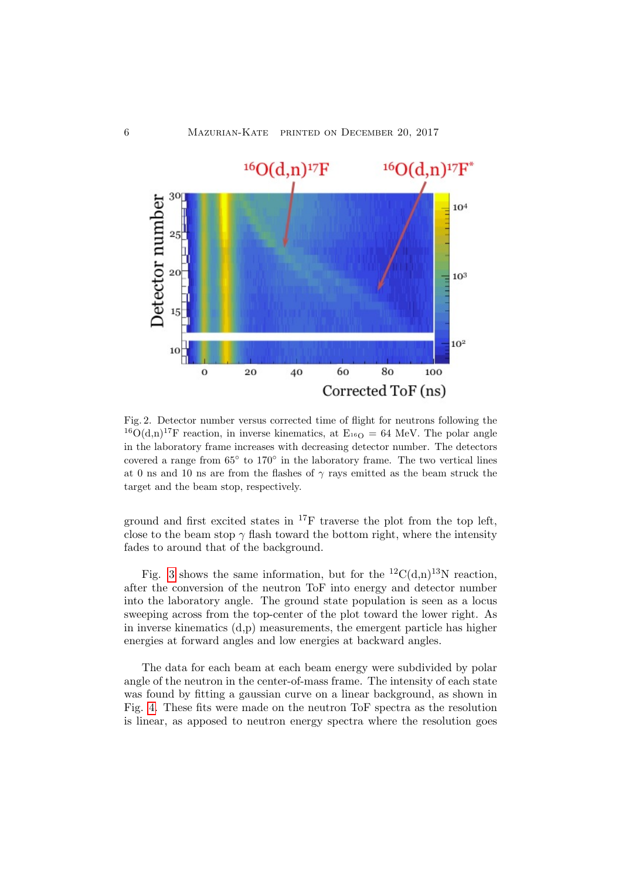

<span id="page-7-0"></span>Fig. 2. Detector number versus corrected time of flight for neutrons following the <sup>16</sup>O(d,n)<sup>17</sup>F reaction, in inverse kinematics, at  $E_{16O} = 64$  MeV. The polar angle in the laboratory frame increases with decreasing detector number. The detectors covered a range from  $65^{\circ}$  to  $170^{\circ}$  in the laboratory frame. The two vertical lines at 0 ns and 10 ns are from the flashes of  $\gamma$  rays emitted as the beam struck the target and the beam stop, respectively.

ground and first excited states in  $^{17}$ F traverse the plot from the top left, close to the beam stop  $\gamma$  flash toward the bottom right, where the intensity fades to around that of the background.

Fig. [3](#page-8-0) shows the same information, but for the <sup>12</sup>C(d,n)<sup>13</sup>N reaction, after the conversion of the neutron ToF into energy and detector number into the laboratory angle. The ground state population is seen as a locus sweeping across from the top-center of the plot toward the lower right. As in inverse kinematics (d,p) measurements, the emergent particle has higher energies at forward angles and low energies at backward angles.

The data for each beam at each beam energy were subdivided by polar angle of the neutron in the center-of-mass frame. The intensity of each state was found by fitting a gaussian curve on a linear background, as shown in Fig. [4.](#page-9-0) These fits were made on the neutron ToF spectra as the resolution is linear, as apposed to neutron energy spectra where the resolution goes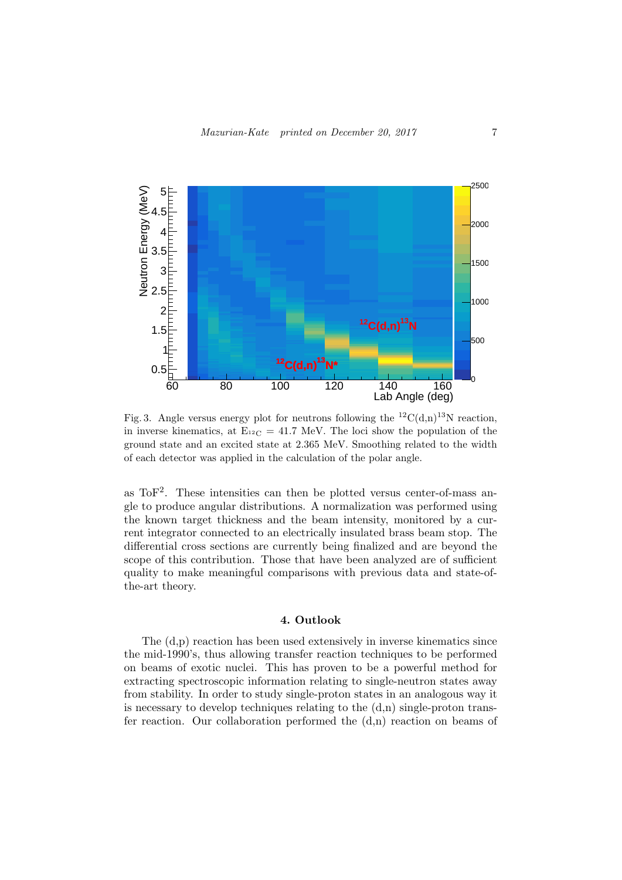

<span id="page-8-0"></span>Fig. 3. Angle versus energy plot for neutrons following the <sup>12</sup>C(d,n)<sup>13</sup>N reaction, in inverse kinematics, at  $E_{12} = 41.7$  MeV. The loci show the population of the ground state and an excited state at 2.365 MeV. Smoothing related to the width of each detector was applied in the calculation of the polar angle.

as  $\text{ToF}^2$ . These intensities can then be plotted versus center-of-mass angle to produce angular distributions. A normalization was performed using the known target thickness and the beam intensity, monitored by a current integrator connected to an electrically insulated brass beam stop. The differential cross sections are currently being finalized and are beyond the scope of this contribution. Those that have been analyzed are of sufficient quality to make meaningful comparisons with previous data and state-ofthe-art theory.

#### 4. Outlook

The (d,p) reaction has been used extensively in inverse kinematics since the mid-1990's, thus allowing transfer reaction techniques to be performed on beams of exotic nuclei. This has proven to be a powerful method for extracting spectroscopic information relating to single-neutron states away from stability. In order to study single-proton states in an analogous way it is necessary to develop techniques relating to the  $(d,n)$  single-proton transfer reaction. Our collaboration performed the  $(d,n)$  reaction on beams of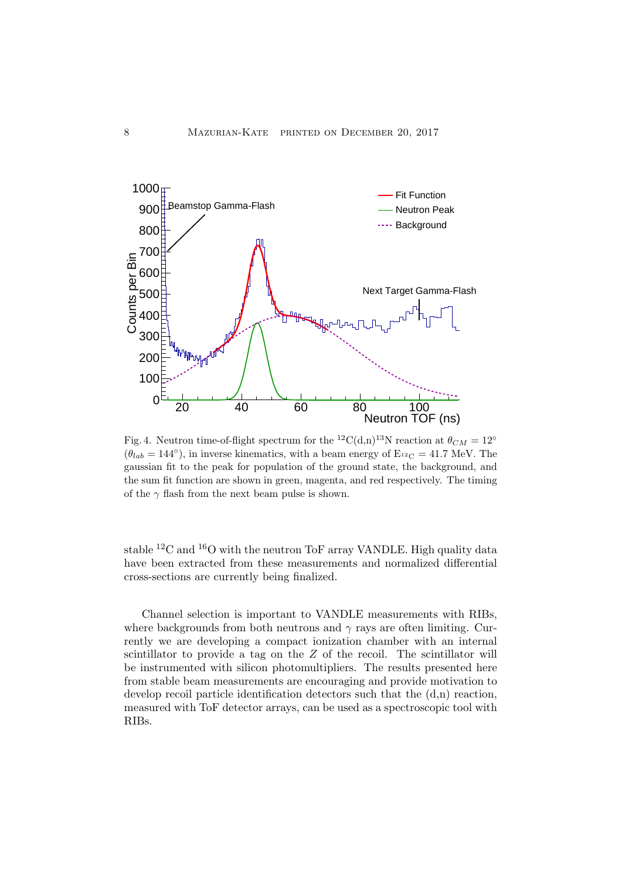

<span id="page-9-0"></span>Fig. 4. Neutron time-of-flight spectrum for the <sup>12</sup>C(d,n)<sup>13</sup>N reaction at  $\theta_{CM} = 12°$  $(\theta_{lab} = 144^{\circ})$ , in inverse kinematics, with a beam energy of E<sub>12</sub><sup>c</sup> = 41.7 MeV. The gaussian fit to the peak for population of the ground state, the background, and the sum fit function are shown in green, magenta, and red respectively. The timing of the  $\gamma$  flash from the next beam pulse is shown.

stable <sup>12</sup>C and <sup>16</sup>O with the neutron ToF array VANDLE. High quality data have been extracted from these measurements and normalized differential cross-sections are currently being finalized.

Channel selection is important to VANDLE measurements with RIBs, where backgrounds from both neutrons and  $\gamma$  rays are often limiting. Currently we are developing a compact ionization chamber with an internal scintillator to provide a tag on the Z of the recoil. The scintillator will be instrumented with silicon photomultipliers. The results presented here from stable beam measurements are encouraging and provide motivation to develop recoil particle identification detectors such that the (d,n) reaction, measured with ToF detector arrays, can be used as a spectroscopic tool with RIBs.